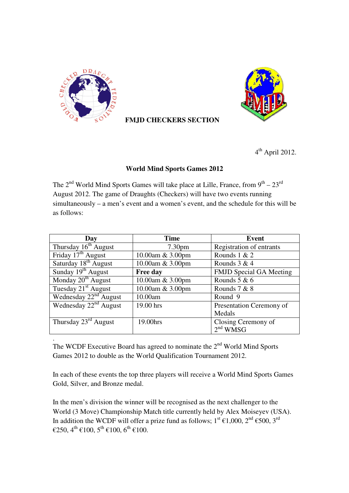



 **FMJD CHECKERS SECTION** 

4<sup>th</sup> April 2012.

# **World Mind Sports Games 2012**

The  $2^{nd}$  World Mind Sports Games will take place at Lille, France, from  $9^{th} - 23^{rd}$ August 2012. The game of Draughts (Checkers) will have two events running simultaneously – a men's event and a women's event, and the schedule for this will be as follows:

| Day                               | <b>Time</b>        | <b>Event</b>                   |
|-----------------------------------|--------------------|--------------------------------|
| Thursday 16 <sup>th</sup> August  | 7.30 <sub>pm</sub> | Registration of entrants       |
| Friday 17 <sup>th</sup> August    | 10.00am & 3.00pm   | Rounds 1 & 2                   |
| Saturday 18 <sup>th</sup> August  | 10.00am & 3.00pm   | Rounds $3 & 4$                 |
| Sunday 19 <sup>th</sup> August    | <b>Free day</b>    | <b>FMJD Special GA Meeting</b> |
| Monday 20 <sup>th</sup> August    | 10.00am & 3.00pm   | Rounds $5 & 6$                 |
| Tuesday 21 <sup>st</sup> August   | 10.00am & 3.00pm   | Rounds 7 & 8                   |
| Wednesday 22 <sup>nd</sup> August | 10.00am            | Round 9                        |
| Wednesday $22^{nd}$ August        | 19.00 hrs          | Presentation Ceremony of       |
|                                   |                    | Medals                         |
| Thursday $23^{\text{rd}}$ August  | 19.00hrs           | Closing Ceremony of            |
|                                   |                    | $2nd$ WMSG                     |

. The WCDF Executive Board has agreed to nominate the  $2<sup>nd</sup>$  World Mind Sports Games 2012 to double as the World Qualification Tournament 2012.

In each of these events the top three players will receive a World Mind Sports Games Gold, Silver, and Bronze medal.

In the men's division the winner will be recognised as the next challenger to the World (3 Move) Championship Match title currently held by Alex Moiseyev (USA). In addition the WCDF will offer a prize fund as follows;  $1^{st} \in 1,000$ ,  $2^{nd} \in 500$ ,  $3^{rd}$ €250,  $4^{th}$  €100,  $5^{th}$  €100,  $6^{th}$  €100.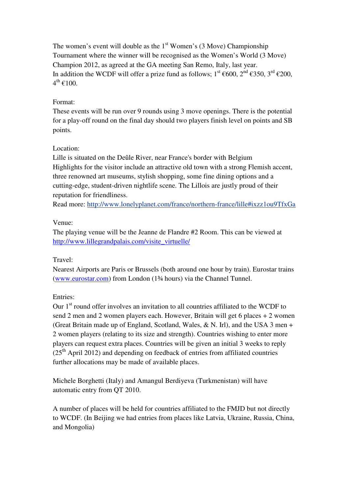The women's event will double as the  $1<sup>st</sup>$  Women's (3 Move) Championship Tournament where the winner will be recognised as the Women's World (3 Move) Champion 2012, as agreed at the GA meeting San Remo, Italy, last year. In addition the WCDF will offer a prize fund as follows;  $1^{st} \in 600$ ,  $2^{nd} \in 350$ ,  $3^{rd} \in 200$ ,  $4^{\text{th}}$  €100.

### Format:

These events will be run over 9 rounds using 3 move openings. There is the potential for a play-off round on the final day should two players finish level on points and SB points.

### Location:

Lille is situated on the Deûle River, near France's border with Belgium Highlights for the visitor include an attractive old town with a strong Flemish accent, three renowned art museums, stylish shopping, some fine dining options and a cutting-edge, student-driven nightlife scene. The Lillois are justly proud of their reputation for friendliness.

Read more: http://www.lonelyplanet.com/france/northern-france/lille#ixzz1ou9TfxGa

### Venue:

The playing venue will be the Jeanne de Flandre #2 Room. This can be viewed at http://www.lillegrandpalais.com/visite\_virtuelle/

# Travel:

Nearest Airports are Paris or Brussels (both around one hour by train). Eurostar trains (www.eurostar.com) from London (1¾ hours) via the Channel Tunnel.

# Entries:

Our 1<sup>st</sup> round offer involves an invitation to all countries affiliated to the WCDF to send 2 men and 2 women players each. However, Britain will get 6 places + 2 women (Great Britain made up of England, Scotland, Wales, & N. Irl), and the USA 3 men + 2 women players (relating to its size and strength). Countries wishing to enter more players can request extra places. Countries will be given an initial 3 weeks to reply  $(25<sup>th</sup>$  April 2012) and depending on feedback of entries from affiliated countries further allocations may be made of available places.

Michele Borghetti (Italy) and Amangul Berdiyeva (Turkmenistan) will have automatic entry from QT 2010.

A number of places will be held for countries affiliated to the FMJD but not directly to WCDF. (In Beijing we had entries from places like Latvia, Ukraine, Russia, China, and Mongolia)